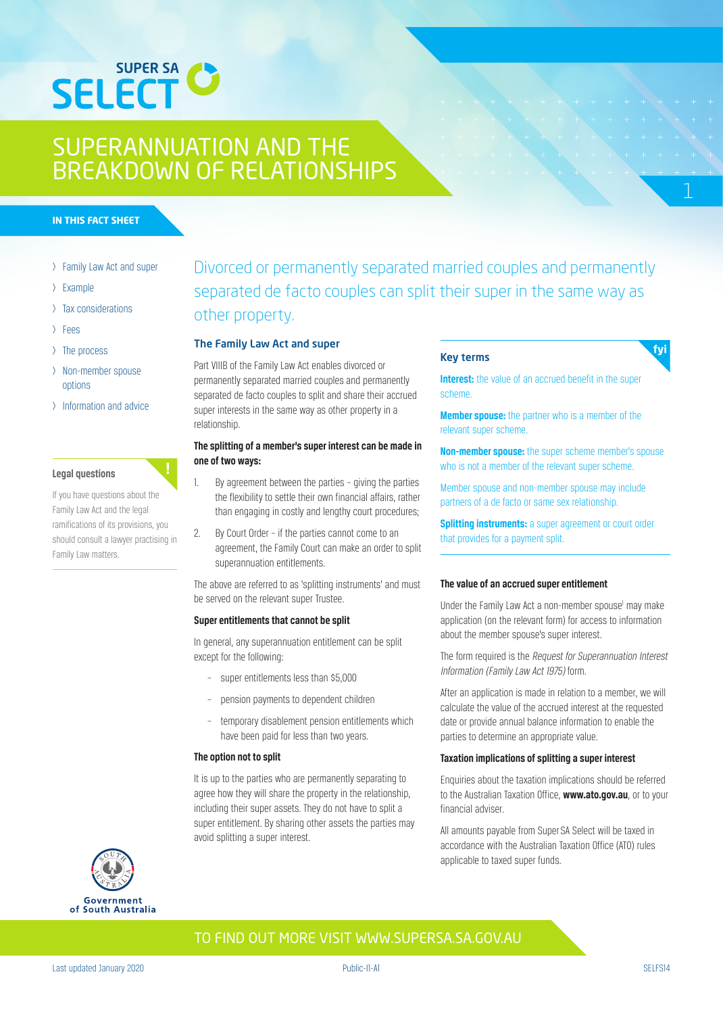

#### **IN THIS FACT SHEET**

- > Family Law Act and super
- > Example
- > Tax considerations
- > Fees
- > The process
- > Non-member spouse options
- > Information and advice

#### **Legal questions**

If you have questions about the Family Law Act and the legal ramifications of its provisions, you should consult a lawyer practising in Family Law matters.

# Divorced or permanently separated married couples and permanently separated de facto couples can split their super in the same way as other property.

#### The Family Law Act and super

Part VIIIB of the Family Law Act enables divorced or permanently separated married couples and permanently separated de facto couples to split and share their accrued super interests in the same way as other property in a relationship.

## **The splitting of a member's super interest can be made in one of two ways:**

- 1. By agreement between the parties giving the parties the flexibility to settle their own financial affairs, rather than engaging in costly and lengthy court procedures;
- 2. By Court Order if the parties cannot come to an agreement, the Family Court can make an order to split superannuation entitlements.

The above are referred to as 'splitting instruments' and must be served on the relevant super Trustee.

#### **Super entitlements that cannot be split**

In general, any superannuation entitlement can be split except for the following:

- super entitlements less than \$5,000
- pension payments to dependent children
- temporary disablement pension entitlements which have been paid for less than two years.

#### **The option not to split**

It is up to the parties who are permanently separating to agree how they will share the property in the relationship, including their super assets. They do not have to split a super entitlement. By sharing other assets the parties may avoid splitting a super interest.

### Key terms

**Interest:** the value of an accrued benefit in the super scheme.

**Member spouse:** the partner who is a member of the relevant super scheme.

**Non-member spouse:** the super scheme member's spouse who is not a member of the relevant super scheme.

Member spouse and non-member spouse may include partners of a de facto or same sex relationship.

**Splitting instruments:** a super agreement or court order that provides for a payment split.

#### **The value of an accrued super entitlement**

Under the Family Law Act a non-member spouse<sup>1</sup> may make application (on the relevant form) for access to information about the member spouse's super interest.

The form required is the Request for Superannuation Interest Information (Family Law Act 1975) form.

After an application is made in relation to a member, we will calculate the value of the accrued interest at the requested date or provide annual balance information to enable the parties to determine an appropriate value.

### **Taxation implications of splitting a super interest**

Enquiries about the taxation implications should be referred to the Australian Taxation Office, **www.ato.gov.au**, or to your financial adviser.

All amounts payable from Super SA Select will be taxed in accordance with the Australian Taxation Office (ATO) rules applicable to taxed super funds.

# Government South Australia of

TO FIND OUT MORE VISIT WWW.SUPERSA.SA.GOV.AU

fyi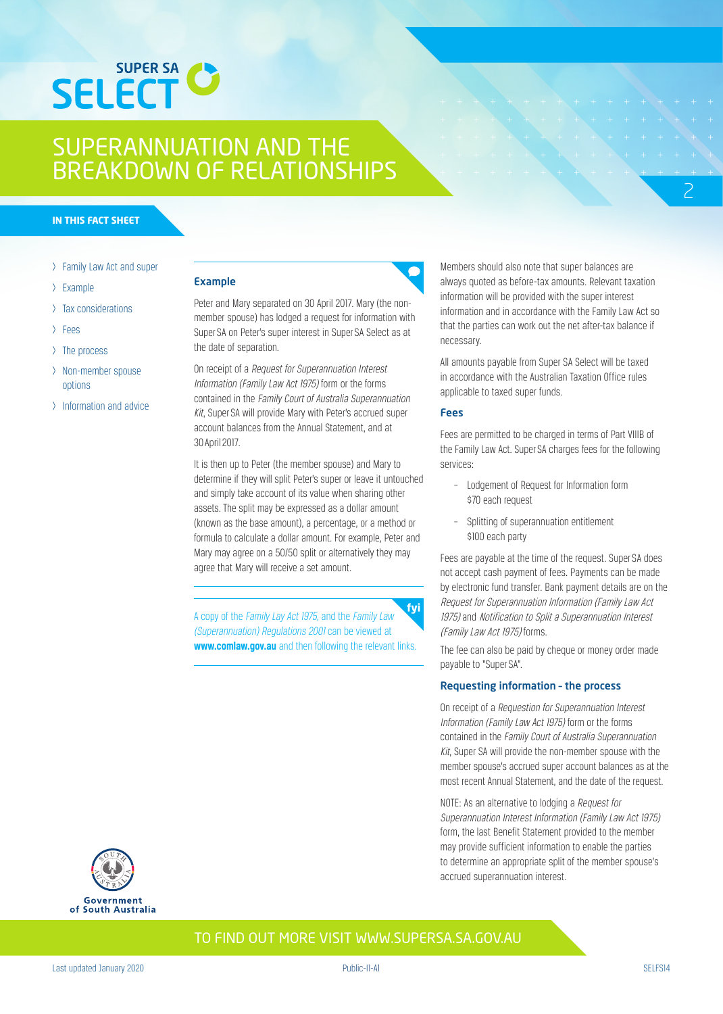

#### **IN THIS FACT SHEET**

- > Family Law Act and super
- > Example
- > Tax considerations
- > Fees
- > The process
- > Non-member spouse options
- > Information and advice

#### Example

Peter and Mary separated on 30 April 2017. Mary (the nonmember spouse) has lodged a request for information with Super SA on Peter's super interest in Super SA Select as at the date of separation.

On receipt of a Request for Superannuation Interest Information (Family Law Act 1975) form or the forms contained in the Family Court of Australia Superannuation Kit, Super SA will provide Mary with Peter's accrued super account balances from the Annual Statement, and at 30 April 2017.

It is then up to Peter (the member spouse) and Mary to determine if they will split Peter's super or leave it untouched and simply take account of its value when sharing other assets. The split may be expressed as a dollar amount (known as the base amount), a percentage, or a method or formula to calculate a dollar amount. For example, Peter and Mary may agree on a 50/50 split or alternatively they may agree that Mary will receive a set amount.

fyi A copy of the Family Lay Act 1975, and the Family Law (Superannuation) Regulations 2001 can be viewed at **www.comlaw.gov.au** and then following the relevant links.

Members should also note that super balances are always quoted as before-tax amounts. Relevant taxation information will be provided with the super interest information and in accordance with the Family Law Act so that the parties can work out the net after-tax balance if necessary.

2

All amounts payable from Super SA Select will be taxed in accordance with the Australian Taxation Office rules applicable to taxed super funds.

#### Fees

Fees are permitted to be charged in terms of Part VIIIB of the Family Law Act. Super SA charges fees for the following services:

- Lodgement of Request for Information form \$70 each request
- Splitting of superannuation entitlement \$100 each party

Fees are payable at the time of the request. Super SA does not accept cash payment of fees. Payments can be made by electronic fund transfer. Bank payment details are on the Request for Superannuation Information (Family Law Act 1975) and Notification to Split a Superannuation Interest (Family Law Act 1975) forms.

The fee can also be paid by cheque or money order made payable to "Super SA".

### Requesting information – the process

On receipt of a Requestion for Superannuation Interest Information (Family Law Act 1975) form or the forms contained in the Family Court of Australia Superannuation Kit, Super SA will provide the non-member spouse with the member spouse's accrued super account balances as at the most recent Annual Statement, and the date of the request.

NOTE: As an alternative to lodging a Request for Superannuation Interest Information (Family Law Act 1975) form, the last Benefit Statement provided to the member may provide sufficient information to enable the parties to determine an appropriate split of the member spouse's accrued superannuation interest.



TO FIND OUT MORE VISIT WWW.SUPERSA.SA.GOV.AU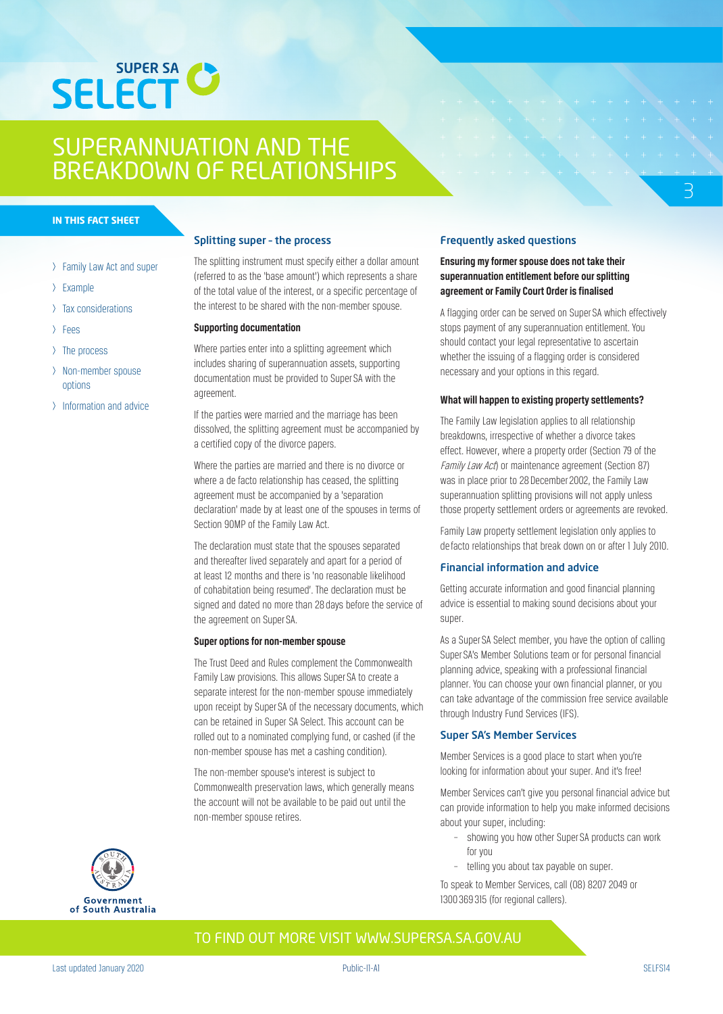

#### **IN THIS FACT SHEET**

- > Family Law Act and super
- > Example
- > Tax considerations
- > Fees
- > The process
- > Non-member spouse options
- > Information and advice

#### Splitting super – the process

The splitting instrument must specify either a dollar amount (referred to as the 'base amount') which represents a share of the total value of the interest, or a specific percentage of the interest to be shared with the non-member spouse.

#### **Supporting documentation**

Where parties enter into a splitting agreement which includes sharing of superannuation assets, supporting documentation must be provided to Super SA with the agreement.

If the parties were married and the marriage has been dissolved, the splitting agreement must be accompanied by a certified copy of the divorce papers.

Where the parties are married and there is no divorce or where a de facto relationship has ceased, the splitting agreement must be accompanied by a 'separation declaration' made by at least one of the spouses in terms of Section 90MP of the Family Law Act.

The declaration must state that the spouses separated and thereafter lived separately and apart for a period of at least 12 months and there is 'no reasonable likelihood of cohabitation being resumed'. The declaration must be signed and dated no more than 28 days before the service of the agreement on Super SA.

#### **Super options for non-member spouse**

The Trust Deed and Rules complement the Commonwealth Family Law provisions. This allows Super SA to create a separate interest for the non-member spouse immediately upon receipt by Super SA of the necessary documents, which can be retained in Super SA Select. This account can be rolled out to a nominated complying fund, or cashed (if the non-member spouse has met a cashing condition).

The non-member spouse's interest is subject to Commonwealth preservation laws, which generally means the account will not be available to be paid out until the non-member spouse retires.

### Frequently asked questions

## **Ensuring my former spouse does not take their superannuation entitlement before our splitting agreement or Family Court Order is finalised**

A flagging order can be served on Super SA which effectively stops payment of any superannuation entitlement. You should contact your legal representative to ascertain whether the issuing of a flagging order is considered necessary and your options in this regard.

3

#### **What will happen to existing property settlements?**

The Family Law legislation applies to all relationship breakdowns, irrespective of whether a divorce takes effect. However, where a property order (Section 79 of the Family Law Act) or maintenance agreement (Section 87) was in place prior to 28 December 2002, the Family Law superannuation splitting provisions will not apply unless those property settlement orders or agreements are revoked.

Family Law property settlement legislation only applies to de facto relationships that break down on or after 1 July 2010.

#### Financial information and advice

Getting accurate information and good financial planning advice is essential to making sound decisions about your super.

As a Super SA Select member, you have the option of calling Super SA's Member Solutions team or for personal financial planning advice, speaking with a professional financial planner. You can choose your own financial planner, or you can take advantage of the commission free service available through Industry Fund Services (IFS).

#### Super SA's Member Services

Member Services is a good place to start when you're looking for information about your super. And it's free!

Member Services can't give you personal financial advice but can provide information to help you make informed decisions about your super, including:

- showing you how other Super SA products can work for you
- telling you about tax payable on super.

To speak to Member Services, call (08) 8207 2049 or 1300 369 315 (for regional callers).

# Government South Australia  $\alpha$ f

## TO FIND OUT MORE VISIT WWW.SUPERSA.SA.GOV.AU